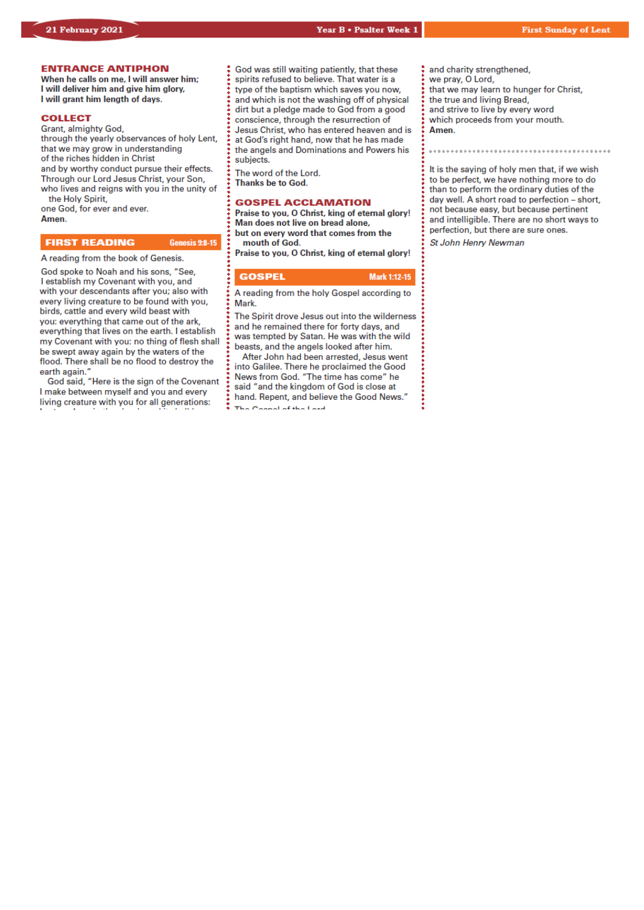# *Our Lady & St Edmund of Abingdon 1 Radley Rd, Abingdon on Thames, Oxon, OX14 3PL*

We are a *LiveSimply* parish aiming to live Simply, Sustainably and in Solidarity with the Poor

| Parish Priest:<br>Parish Secretary:<br>Office Hours:<br>Office Email: | Fr. Jamie McGrath<br>Lisa Paterson<br>10.30am-12.30pm Tuesday to Friday<br>abingdon@portsmouthdiocese.org.uk                 | Tel: 01235 520375<br>Tel: 01235 520375 |  |
|-----------------------------------------------------------------------|------------------------------------------------------------------------------------------------------------------------------|----------------------------------------|--|
| We live stream all services<br>Safeguarding Team:                     | Tel. 07572 935 230                                                                                                           |                                        |  |
| Visits at JR Hospital:<br>Visits and Help:<br>Parish Website:         | Priest/Chaplain 01865 221732<br>Society of Vincent de Paul Group, contact via Parish Office<br>www.ourladyandstedmund.org.uk |                                        |  |
| Primary School:                                                       | St. Edmund's School, Radley Road, Abingdon, OX14 3PP Tel 521558                                                              |                                        |  |

Roman Catholic Diocese of Portsmouth Reg. Charity No 246871 www.portsmouthdiocese.org.uk

#### **PARISH OFFICE OPENING HOURS:**

Please note that during this pandemic period, and until further notice, the Parish Office opening hours will be from **Tuesdays to Fridays from 10.30am to 12.30pm**. Outside of these times, Fr Jamie will respond to urgent phone messages as soon as he can.

### **PRIVATE PRAYER**

We are blessed that the church can be open, but for **private prayer only**, on the following days and times:

- *Tuesdays:* **12pm to 1pm**
- *Fridays:* **12pm to 1pm**

#### **MASS BOOKINGS:**

*On Monday 22nd February you can book for Masses from Sunday 28th February to Saturday 6th March.*

*PLEASE* remember to give as many dates and times when you could attend – otherwise you may be disappointed. *We are currently limited to 20 people at each Mass*. Also be clear on the number of people you are booking for and let us know if you would like to attend more than one Mass during the week.

# N TO BOOK FOR MAS

#### **No Internet Access?**

Phone 07395 946827 EACH MONDAY between 10am and 11am ONLY to book a place for the FOLLOWING week

#### **Have Internet Access?**

**DON'T phone. Instead, email:** contact@ourladyandstedmund.org.uk

**EACH MONDAY, to book a place for the FOLLOWING week** 

## **NEWSLETTERS**

Please remember that we are currently still not able to offer newsletters or any other printed material in church. Please bring your own with you if you would like to (you can download it from our website).

## **1st Week of Lent (Year B)**

*Attendance through booking system only, but also available on our live stream*

**Sunday 21 February**

6.30pm Mass (Private intention)

**Monday 22 February** *The Chair of St Peter*

10.15am Mass (Ben Jeacock, RIP - anniversary)

9am Mass (Marry Fallon intentions – 80th birthday)

#### **Tuesday 23 February**

NO Mass See: *www.ourladyandstedmund.org.uk/englishmartyrs-vale-of-white-horse* for other masses

**Wednesday 24 February** 

7pm Mass (Chris Crouch, RIP)

**Thursday 25 February** 

9.30am Mass (Magdalen & Thomas Kelly, RIP)

**Friday 26 February**

7pm Mass (Alexandra Paterson special intentions – 20th birthday)

#### **Saturday 27 February**

12pm Mass (Crouch family intentions)



#### **SPIRITUAL COMMUNION PRAYER:**

My Jesus, I believe that You are present in the Most Blessed Sacrament. I love You above all things, and I desire to receive You into my soul. Since I cannot today receive You sacramentally, come at least spiritually into my heart. I embrace You as if You were already there, and unite myself wholly to You. Never permit me to be separated from You. Amen.